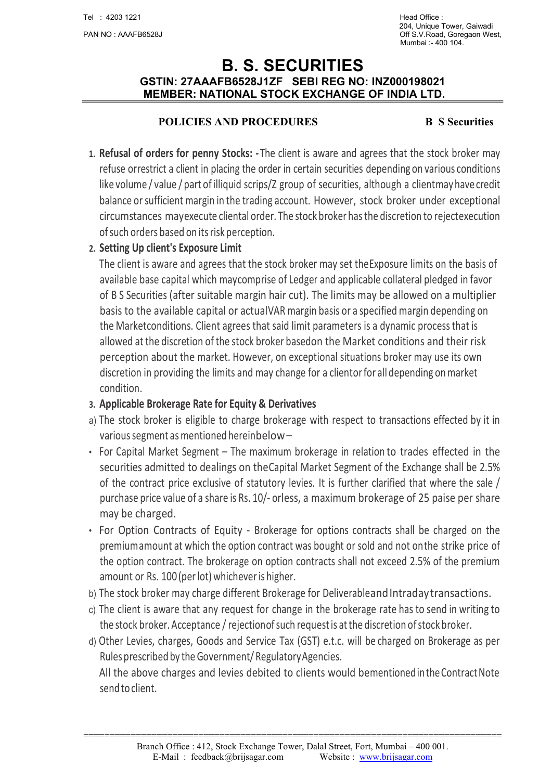# B. S. SECURITIES GSTIN: 27AAAFB6528J1ZF SEBI REG NO: INZ000198021 MEMBER: NATIONAL STOCK EXCHANGE OF INDIA LTD.

#### POLICIES AND PROCEDURES B S Securities

- 1. Refusal of orders for penny Stocks: The client is aware and agrees that the stock broker may refuse or restrict a client in placing the order in certain securities depending on various conditions like volume / value / part of illiquid scrips/Z group of securities, although a client may have credit balance or sufficient margin in the trading account. However, stock broker under exceptional circumstances may execute cliental order. The stock broker has the discretion to reject execution of such orders based on its risk perception.
- 2. Setting Up client's Exposure Limit

The client is aware and agrees that the stock broker may set the Exposure limits on the basis of available base capital which may comprise of Ledger and applicable collateral pledged in favor of B S Securities (after suitable margin hair cut). The limits may be allowed on a multiplier basis to the available capital or actual VAR margin basis or a specified margin depending on the Market conditions. Client agrees that said limit parameters is a dynamic process that is allowed at the discretion of the stock broker based on the Market conditions and their risk perception about the market. However, on exceptional situations broker may use its own discretion in providing the limits and may change for a client or for all depending on market condition.

### 3. Applicable Brokerage Rate for Equity & Derivatives

- a) The stock broker is eligible to charge brokerage with respect to transactions effected by it in various segment as mentioned herein below –
- For Capital Market Segment The maximum brokerage in relation to trades effected in the securities admitted to dealings on the Capital Market Segment of the Exchange shall be 2.5% of the contract price exclusive of statutory levies. It is further clarified that where the sale / purchase price value of a share is Rs. 10/- or less, a maximum brokerage of 25 paise per share may be charged.
- For Option Contracts of Equity Brokerage for options contracts shall be charged on the premium amount at which the option contract was bought or sold and not on the strike price of the option contract. The brokerage on option contracts shall not exceed 2.5% of the premium amount or Rs. 100 (per lot) whichever is higher.
- b) The stock broker may charge different Brokerage for Deliverable and Intraday transactions.
- c) The client is aware that any request for change in the brokerage rate has to send in writing to the stock broker. Acceptance / rejection of such request is at the discretion of stock broker.
- d) Other Levies, charges, Goods and Service Tax (GST) e.t.c. will be charged on Brokerage as per Rules prescribed by the Government/ Regulatory Agencies.

All the above charges and levies debited to clients would be mentioned in the Contract Note send to client.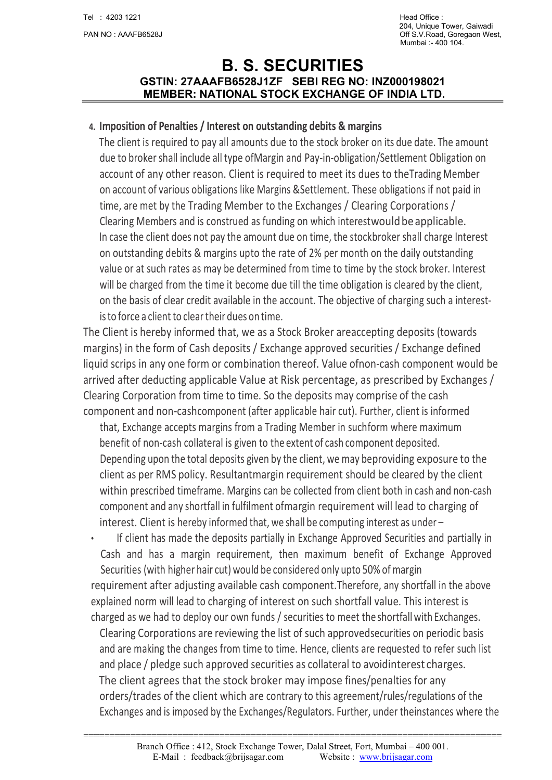# B. S. SECURITIES GSTIN: 27AAAFB6528J1ZF SEBI REG NO: INZ000198021 MEMBER: NATIONAL STOCK EXCHANGE OF INDIA LTD.

#### 4. Imposition of Penalties / Interest on outstanding debits & margins

The client is required to pay all amounts due to the stock broker on its due date. The amount due to broker shall include all type of Margin and Pay-in-obligation/Settlement Obligation on account of any other reason. Client is required to meet its dues to the Trading Member on account of various obligations like Margins & Settlement. These obligations if not paid in time, are met by the Trading Member to the Exchanges / Clearing Corporations / Clearing Members and is construed as funding on which interest would be applicable. In case the client does not pay the amount due on time, the stockbroker shall charge Interest on outstanding debits & margins upto the rate of 2% per month on the daily outstanding value or at such rates as may be determined from time to time by the stock broker. Interest will be charged from the time it become due till the time obligation is cleared by the client, on the basis of clear credit available in the account. The objective of charging such a interestis to force a client to clear their dues on time.

The Client is hereby informed that, we as a Stock Broker are accepting deposits (towards margins) in the form of Cash deposits / Exchange approved securities / Exchange defined liquid scrips in any one form or combination thereof. Value of non-cash component would be arrived after deducting applicable Value at Risk percentage, as prescribed by Exchanges / Clearing Corporation from time to time. So the deposits may comprise of the cash component and non-cash component (after applicable hair cut). Further, client is informed

that, Exchange accepts margins from a Trading Member in such form where maximum benefit of non-cash collateral is given to the extent of cash component deposited. Depending upon the total deposits given by the client, we may be providing exposure to the client as per RMS policy. Resultant margin requirement should be cleared by the client within prescribed timeframe. Margins can be collected from client both in cash and non-cash component and any shortfall in fulfilment of margin requirement will lead to charging of interest. Client is hereby informed that, we shall be computing interest as under –

• If client has made the deposits partially in Exchange Approved Securities and partially in Cash and has a margin requirement, then maximum benefit of Exchange Approved Securities (with higher hair cut) would be considered only upto 50% of margin

requirement after adjusting available cash component. Therefore, any shortfall in the above explained norm will lead to charging of interest on such shortfall value. This interest is charged as we had to deploy our own funds / securities to meet the shortfall with Exchanges.

Clearing Corporations are reviewing the list of such approved securities on periodic basis and are making the changes from time to time. Hence, clients are requested to refer such list and place / pledge such approved securities as collateral to avoid interest charges. The client agrees that the stock broker may impose fines/penalties for any orders/trades of the client which are contrary to this agreement/rules/regulations of the Exchanges and is imposed by the Exchanges/Regulators. Further, under the instances where the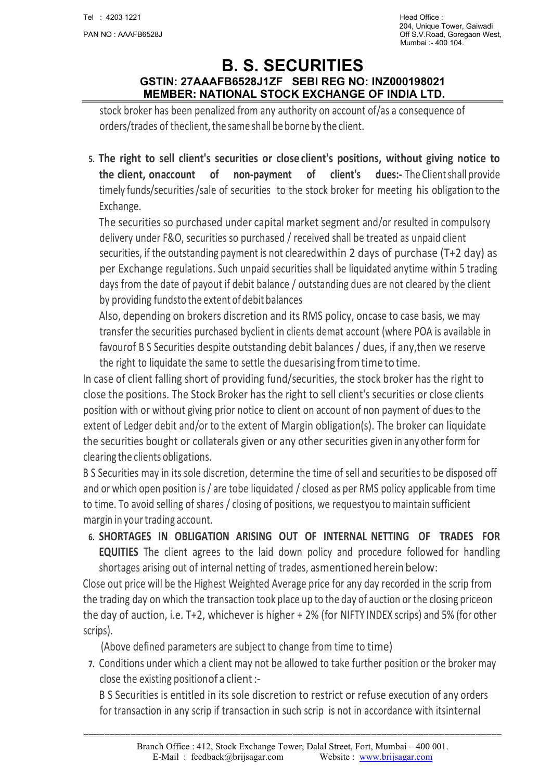# B. S. SECURITIES GSTIN: 27AAAFB6528J1ZF SEBI REG NO: INZ000198021 MEMBER: NATIONAL STOCK EXCHANGE OF INDIA LTD.

stock broker has been penalized from any authority on account of/as a consequence of orders/trades of the client, the same shall be borne by the client.

5. The right to sell client's securities or close client's positions, without giving notice to the client, on account of non-payment of client's dues:- The Client shall provide timely funds/securities /sale of securities to the stock broker for meeting his obligation to the Exchange.

The securities so purchased under capital market segment and/or resulted in compulsory delivery under F&O, securities so purchased / received shall be treated as unpaid client securities, if the outstanding payment is not cleared within 2 days of purchase (T+2 day) as per Exchange regulations. Such unpaid securities shall be liquidated anytime within 5 trading days from the date of payout if debit balance / outstanding dues are not cleared by the client by providing funds to the extent of debit balances

Also, depending on brokers discretion and its RMS policy, oncase to case basis, we may transfer the securities purchased by client in clients demat account (where POA is available in favour of B S Securities despite outstanding debit balances / dues, if any, then we reserve the right to liquidate the same to settle the duesarising from time to time.

In case of client falling short of providing fund/securities, the stock broker has the right to close the positions. The Stock Broker has the right to sell client's securities or close clients position with or without giving prior notice to client on account of non payment of dues to the extent of Ledger debit and/or to the extent of Margin obligation(s). The broker can liquidate the securities bought or collaterals given or any other securities given in any other form for clearing the clients obligations.

B S Securities may in its sole discretion, determine the time of sell and securities to be disposed off and or which open position is / are tobe liquidated / closed as per RMS policy applicable from time to time. To avoid selling of shares / closing of positions, we requestyou to maintain sufficient margin in your trading account.

6. SHORTAGES IN OBLIGATION ARISING OUT OF INTERNAL NETTING OF TRADES FOR EQUITIES The client agrees to the laid down policy and procedure followed for handling shortages arising out of internal netting of trades, as mentioned herein below:

Close out price will be the Highest Weighted Average price for any day recorded in the scrip from the trading day on which the transaction took place up to the day of auction or the closing price on the day of auction, i.e. T+2, whichever is higher + 2% (for NIFTY INDEX scrips) and 5% (for other scrips).

(Above defined parameters are subject to change from time to time)

7. Conditions under which a client may not be allowed to take further position or the broker may close the existing position of a client :-

B S Securities is entitled in its sole discretion to restrict or refuse execution of any orders for transaction in any scrip if transaction in such scrip is not in accordance with its internal